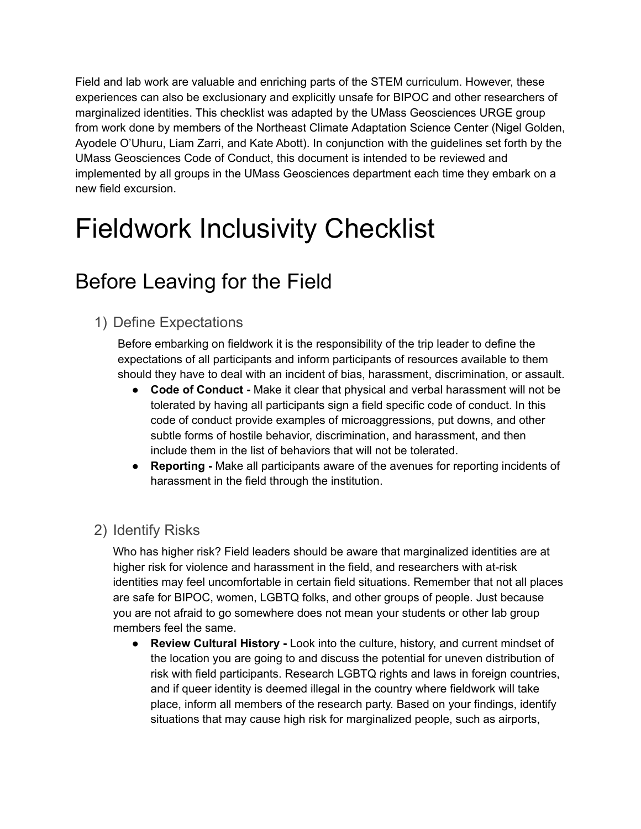Field and lab work are valuable and enriching parts of the STEM curriculum. However, these experiences can also be exclusionary and explicitly unsafe for BIPOC and other researchers of marginalized identities. This checklist was adapted by the UMass Geosciences URGE group from work done by members of the Northeast Climate Adaptation Science Center (Nigel Golden, Ayodele O'Uhuru, Liam Zarri, and Kate Abott). In conjunction with the guidelines set forth by the UMass Geosciences Code of Conduct, this document is intended to be reviewed and implemented by all groups in the UMass Geosciences department each time they embark on a new field excursion.

# Fieldwork Inclusivity Checklist

### Before Leaving for the Field

#### 1) Define Expectations

Before embarking on fieldwork it is the responsibility of the trip leader to define the expectations of all participants and inform participants of resources available to them should they have to deal with an incident of bias, harassment, discrimination, or assault.

- **Code of Conduct -** Make it clear that physical and verbal harassment will not be tolerated by having all participants sign a field specific code of conduct. In this code of conduct provide examples of microaggressions, put downs, and other subtle forms of hostile behavior, discrimination, and harassment, and then include them in the list of behaviors that will not be tolerated.
- **Reporting -** Make all participants aware of the avenues for reporting incidents of harassment in the field through the institution.

#### 2) Identify Risks

Who has higher risk? Field leaders should be aware that marginalized identities are at higher risk for violence and harassment in the field, and researchers with at-risk identities may feel uncomfortable in certain field situations. Remember that not all places are safe for BIPOC, women, LGBTQ folks, and other groups of people. Just because you are not afraid to go somewhere does not mean your students or other lab group members feel the same.

**● Review Cultural History -** Look into the culture, history, and current mindset of the location you are going to and discuss the potential for uneven distribution of risk with field participants. Research LGBTQ rights and laws in foreign countries, and if queer identity is deemed illegal in the country where fieldwork will take place, inform all members of the research party. Based on your findings, identify situations that may cause high risk for marginalized people, such as airports,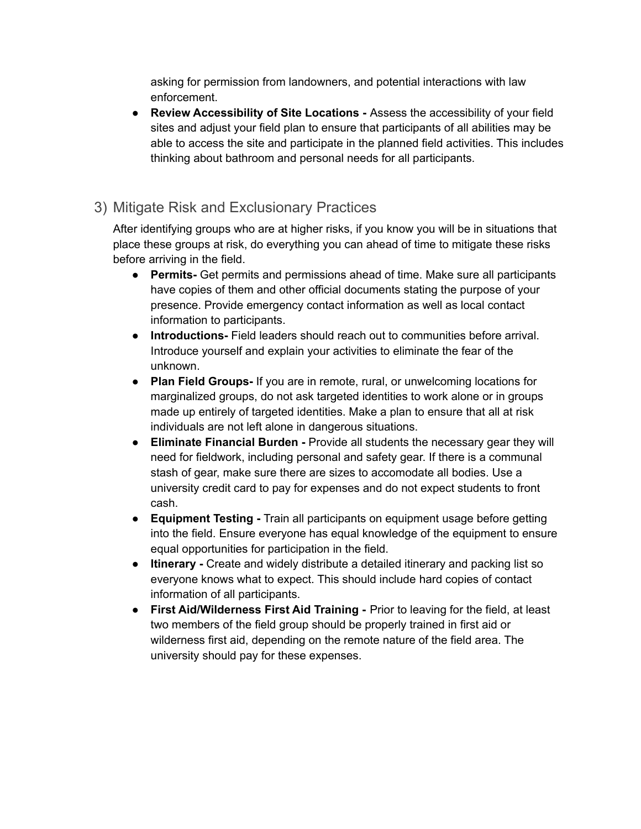asking for permission from landowners, and potential interactions with law enforcement.

**● Review Accessibility of Site Locations -** Assess the accessibility of your field sites and adjust your field plan to ensure that participants of all abilities may be able to access the site and participate in the planned field activities. This includes thinking about bathroom and personal needs for all participants.

#### 3) Mitigate Risk and Exclusionary Practices

After identifying groups who are at higher risks, if you know you will be in situations that place these groups at risk, do everything you can ahead of time to mitigate these risks before arriving in the field.

- **● Permits-** Get permits and permissions ahead of time. Make sure all participants have copies of them and other official documents stating the purpose of your presence. Provide emergency contact information as well as local contact information to participants.
- **● Introductions-** Field leaders should reach out to communities before arrival. Introduce yourself and explain your activities to eliminate the fear of the unknown.
- **● Plan Field Groups-** If you are in remote, rural, or unwelcoming locations for marginalized groups, do not ask targeted identities to work alone or in groups made up entirely of targeted identities. Make a plan to ensure that all at risk individuals are not left alone in dangerous situations.
- **● Eliminate Financial Burden -** Provide all students the necessary gear they will need for fieldwork, including personal and safety gear. If there is a communal stash of gear, make sure there are sizes to accomodate all bodies. Use a university credit card to pay for expenses and do not expect students to front cash.
- **● Equipment Testing -** Train all participants on equipment usage before getting into the field. Ensure everyone has equal knowledge of the equipment to ensure equal opportunities for participation in the field.
- **● Itinerary -** Create and widely distribute a detailed itinerary and packing list so everyone knows what to expect. This should include hard copies of contact information of all participants.
- **● First Aid/Wilderness First Aid Training -** Prior to leaving for the field, at least two members of the field group should be properly trained in first aid or wilderness first aid, depending on the remote nature of the field area. The university should pay for these expenses.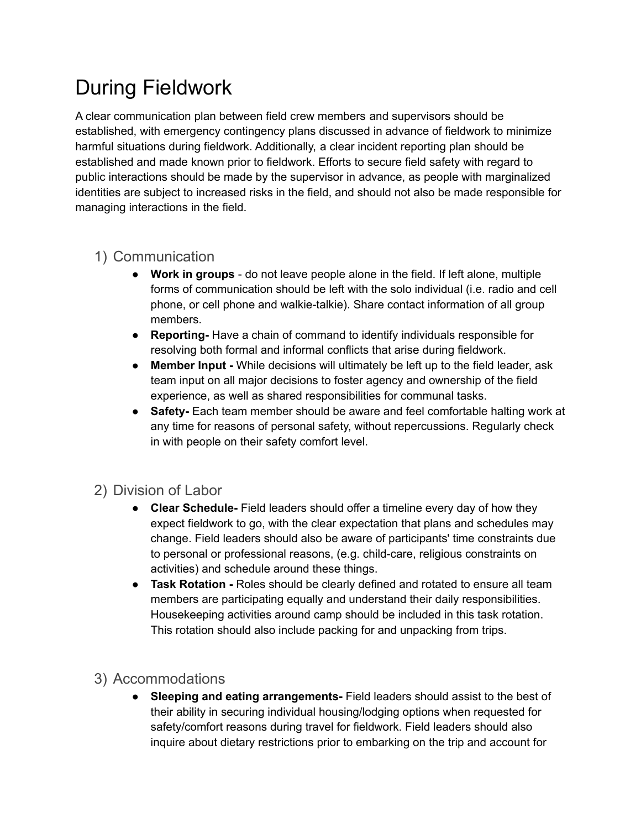# During Fieldwork

A clear communication plan between field crew members and supervisors should be established, with emergency contingency plans discussed in advance of fieldwork to minimize harmful situations during fieldwork. Additionally, a clear incident reporting plan should be established and made known prior to fieldwork. Efforts to secure field safety with regard to public interactions should be made by the supervisor in advance, as people with marginalized identities are subject to increased risks in the field, and should not also be made responsible for managing interactions in the field.

#### 1) Communication

- **● Work in groups** do not leave people alone in the field. If left alone, multiple forms of communication should be left with the solo individual (i.e. radio and cell phone, or cell phone and walkie-talkie). Share contact information of all group members.
- **● Reporting-** Have a chain of command to identify individuals responsible for resolving both formal and informal conflicts that arise during fieldwork.
- **● Member Input -** While decisions will ultimately be left up to the field leader, ask team input on all major decisions to foster agency and ownership of the field experience, as well as shared responsibilities for communal tasks.
- **● Safety-** Each team member should be aware and feel comfortable halting work at any time for reasons of personal safety, without repercussions. Regularly check in with people on their safety comfort level.

#### 2) Division of Labor

- **● Clear Schedule-** Field leaders should offer a timeline every day of how they expect fieldwork to go, with the clear expectation that plans and schedules may change. Field leaders should also be aware of participants' time constraints due to personal or professional reasons, (e.g. child-care, religious constraints on activities) and schedule around these things.
- **● Task Rotation -** Roles should be clearly defined and rotated to ensure all team members are participating equally and understand their daily responsibilities. Housekeeping activities around camp should be included in this task rotation. This rotation should also include packing for and unpacking from trips.

#### 3) Accommodations

**● Sleeping and eating arrangements-** Field leaders should assist to the best of their ability in securing individual housing/lodging options when requested for safety/comfort reasons during travel for fieldwork. Field leaders should also inquire about dietary restrictions prior to embarking on the trip and account for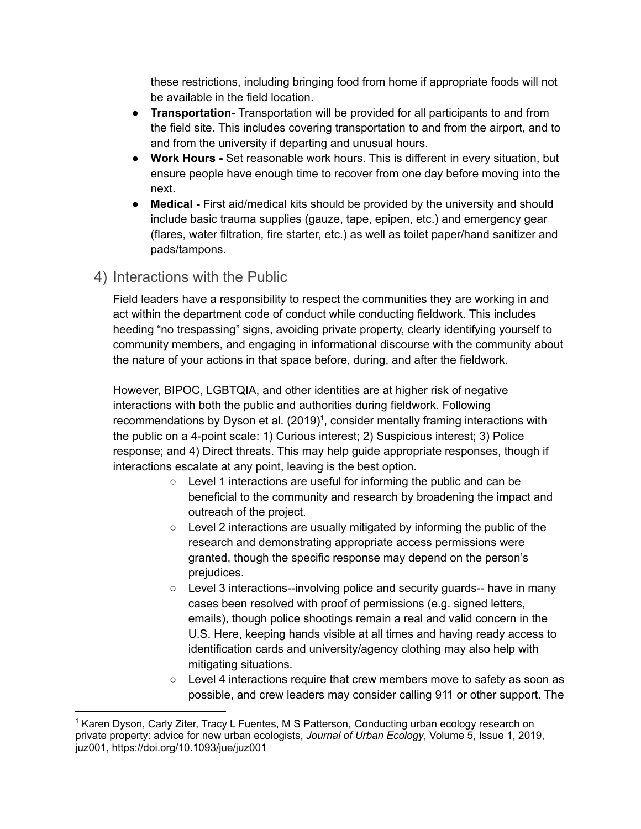these restrictions, including bringing food from home if appropriate foods will not be available in the field location.

- **Transportation-** Transportation will be provided for all participants to and from the field site. This includes covering transportation to and from the airport, and to and from the university if departing and unusual hours.
- **● Work Hours -** Set reasonable work hours. This is different in every situation, but ensure people have enough time to recover from one day before moving into the next.
- **● Medical -** First aid/medical kits should be provided by the university and should include basic trauma supplies (gauze, tape, epipen, etc.) and emergency gear (flares, water filtration, fire starter, etc.) as well as toilet paper/hand sanitizer and pads/tampons.

#### 4) Interactions with the Public

Field leaders have a responsibility to respect the communities they are working in and act within the department code of conduct while conducting fieldwork. This includes heeding "no trespassing" signs, avoiding private property, clearly identifying yourself to community members, and engaging in informational discourse with the community about the nature of your actions in that space before, during, and after the fieldwork.

However, BIPOC, LGBTQIA, and other identities are at higher risk of negative interactions with both the public and authorities during fieldwork. Following recommendations by Dyson et al. (2019)<sup>1</sup>, consider mentally framing interactions with the public on a 4-point scale: 1) Curious interest; 2) Suspicious interest; 3) Police response; and 4) Direct threats. This may help guide appropriate responses, though if interactions escalate at any point, leaving is the best option.

- Level 1 interactions are useful for informing the public and can be beneficial to the community and research by broadening the impact and outreach of the project.
- $\circ$  Level 2 interactions are usually mitigated by informing the public of the research and demonstrating appropriate access permissions were granted, though the specific response may depend on the person's prejudices.
- $\circ$  Level 3 interactions--involving police and security quards-- have in many cases been resolved with proof of permissions (e.g. signed letters, emails), though police shootings remain a real and valid concern in the U.S. Here, keeping hands visible at all times and having ready access to identification cards and university/agency clothing may also help with mitigating situations.
- $\circ$  Level 4 interactions require that crew members move to safety as soon as possible, and crew leaders may consider calling 911 or other support. The

<sup>1</sup> Karen Dyson, Carly Ziter, Tracy L Fuentes, M S Patterson, Conducting urban ecology research on private property: advice for new urban ecologists, *Journal of Urban Ecology*, Volume 5, Issue 1, 2019, juz001, <https://doi.org/10.1093/jue/juz001>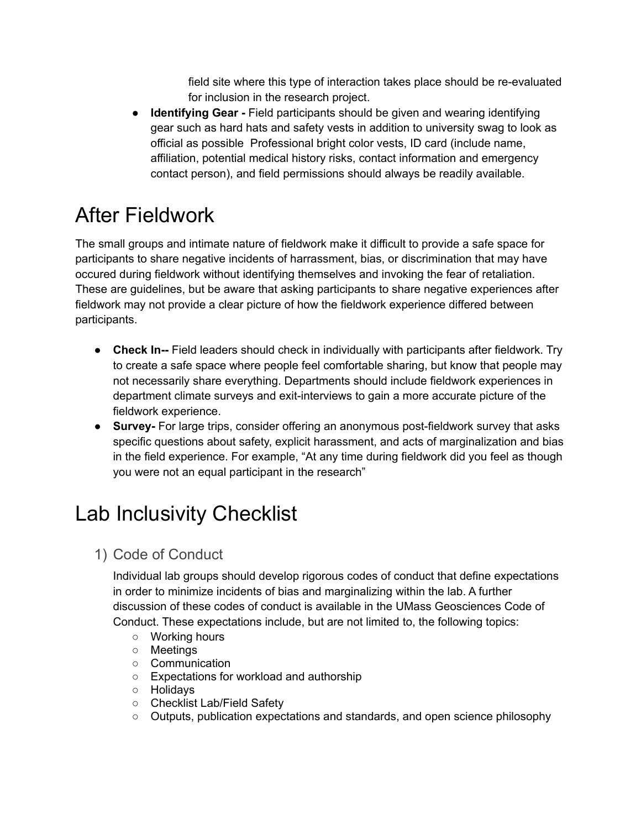field site where this type of interaction takes place should be re-evaluated for inclusion in the research project.

● **Identifying Gear -** Field participants should be given and wearing identifying gear such as hard hats and safety vests in addition to university swag to look as official as possible Professional bright color vests, ID card (include name, affiliation, potential medical history risks, contact information and emergency contact person), and field permissions should always be readily available.

# After Fieldwork

The small groups and intimate nature of fieldwork make it difficult to provide a safe space for participants to share negative incidents of harrassment, bias, or discrimination that may have occured during fieldwork without identifying themselves and invoking the fear of retaliation. These are guidelines, but be aware that asking participants to share negative experiences after fieldwork may not provide a clear picture of how the fieldwork experience differed between participants.

- **Check In--** Field leaders should check in individually with participants after fieldwork. Try to create a safe space where people feel comfortable sharing, but know that people may not necessarily share everything. Departments should include fieldwork experiences in department climate surveys and exit-interviews to gain a more accurate picture of the fieldwork experience.
- **● Survey-** For large trips, consider offering an anonymous post-fieldwork survey that asks specific questions about safety, explicit harassment, and acts of marginalization and bias in the field experience. For example, "At any time during fieldwork did you feel as though you were not an equal participant in the research"

### Lab Inclusivity Checklist

1) Code of Conduct

Individual lab groups should develop rigorous codes of conduct that define expectations in order to minimize incidents of bias and marginalizing within the lab. A further discussion of these codes of conduct is available in the UMass Geosciences Code of Conduct. These expectations include, but are not limited to, the following topics:

- Working hours
- Meetings
- Communication
- Expectations for workload and authorship
- Holidays
- Checklist Lab/Field Safety
- Outputs, publication expectations and standards, and open science philosophy